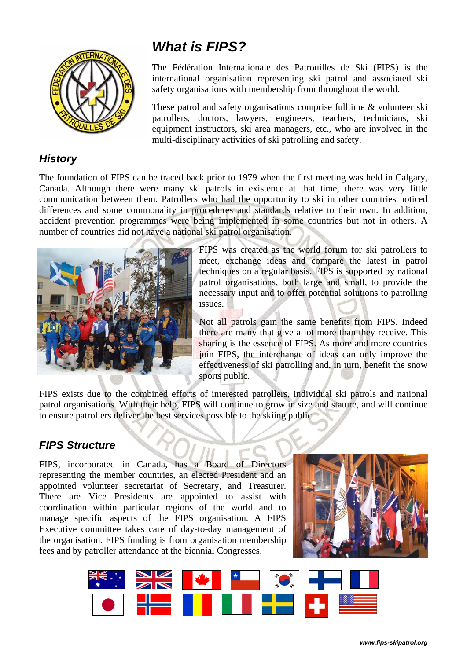

#### *History*

# *What is FIPS?*

The Fédération Internationale des Patrouilles de Ski (FIPS) is the international organisation representing ski patrol and associated ski safety organisations with membership from throughout the world.

These patrol and safety organisations comprise fulltime & volunteer ski patrollers, doctors, lawyers, engineers, teachers, technicians, ski equipment instructors, ski area managers, etc., who are involved in the multi-disciplinary activities of ski patrolling and safety.

The foundation of FIPS can be traced back prior to 1979 when the first meeting was held in Calgary, Canada. Although there were many ski patrols in existence at that time, there was very little communication between them. Patrollers who had the opportunity to ski in other countries noticed differences and some commonality in procedures and standards relative to their own. In addition, accident prevention programmes were being implemented in some countries but not in others. A number of countries did not have a national ski patrol organisation.



FIPS was created as the world forum for ski patrollers to meet, exchange ideas and compare the latest in patrol techniques on a regular basis. FIPS is supported by national patrol organisations, both large and small, to provide the necessary input and to offer potential solutions to patrolling issues.

Not all patrols gain the same benefits from FIPS. Indeed there are many that give a lot more than they receive. This sharing is the essence of FIPS. As more and more countries join FIPS, the interchange of ideas can only improve the effectiveness of ski patrolling and, in turn, benefit the snow sports public.

FIPS exists due to the combined efforts of interested patrollers, individual ski patrols and national patrol organisations. With their help, FIPS will continue to grow in size and stature, and will continue to ensure patrollers deliver the best services possible to the skiing public.

## *FIPS Structure*

FIPS, incorporated in Canada, has a Board of Directors representing the member countries, an elected President and an appointed volunteer secretariat of Secretary, and Treasurer. There are Vice Presidents are appointed to assist with coordination within particular regions of the world and to manage specific aspects of the FIPS organisation. A FIPS Executive committee takes care of day-to-day management of the organisation. FIPS funding is from organisation membership fees and by patroller attendance at the biennial Congresses.